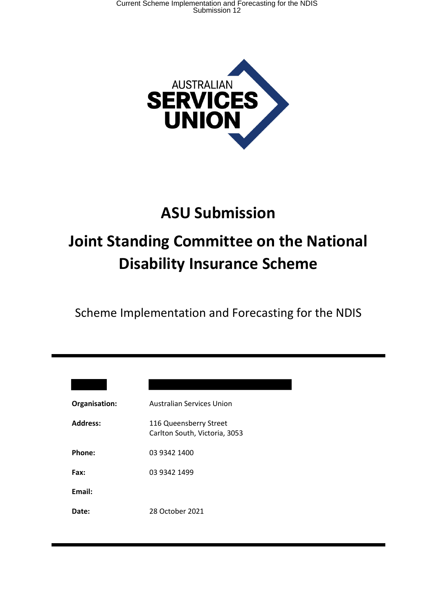

# **ASU Submission Joint Standing Committee on the National Disability Insurance Scheme**

Scheme Implementation and Forecasting for the NDIS

| Organisation:   | <b>Australian Services Union</b>                        |
|-----------------|---------------------------------------------------------|
| <b>Address:</b> | 116 Queensberry Street<br>Carlton South, Victoria, 3053 |
| Phone:          | 03 9342 1400                                            |
| Fax:            | 03 9342 1499                                            |
| Email:          |                                                         |
| <b>Date:</b>    | 28 October 2021                                         |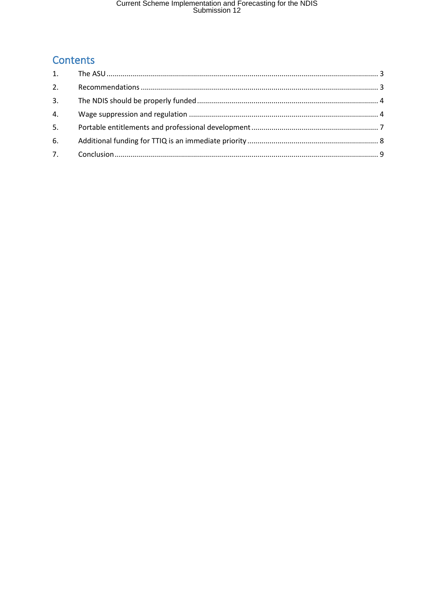# Current Scheme Implementation and Forecasting for the NDIS<br>Submission 12

# Contents

| 2. |  |
|----|--|
| 3. |  |
| 4. |  |
| 5. |  |
| 6. |  |
| 7. |  |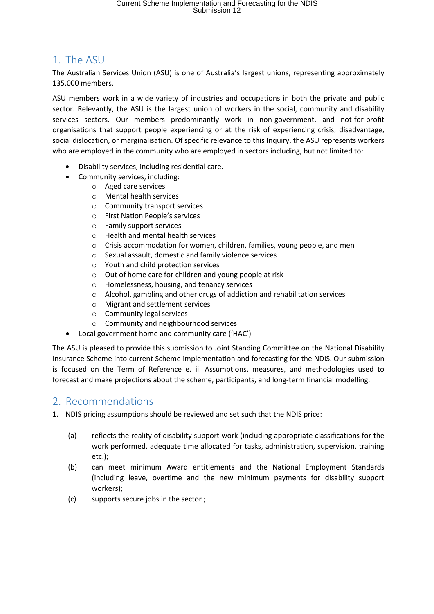### 1. The ASU

The Australian Services Union (ASU) is one of Australia's largest unions, representing approximately 135,000 members.

ASU members work in a wide variety of industries and occupations in both the private and public sector. Relevantly, the ASU is the largest union of workers in the social, community and disability services sectors. Our members predominantly work in non-government, and not-for-profit organisations that support people experiencing or at the risk of experiencing crisis, disadvantage, social dislocation, or marginalisation. Of specific relevance to this Inquiry, the ASU represents workers who are employed in the community who are employed in sectors including, but not limited to:

- Disability services, including residential care.
- Community services, including:
	- o Aged care services
	- o Mental health services
	- o Community transport services
	- o First Nation People's services
	- o Family support services
	- o Health and mental health services
	- $\circ$  Crisis accommodation for women, children, families, young people, and men
	- o Sexual assault, domestic and family violence services
	- o Youth and child protection services
	- o Out of home care for children and young people at risk
	- o Homelessness, housing, and tenancy services
	- o Alcohol, gambling and other drugs of addiction and rehabilitation services
	- o Migrant and settlement services
	- o Community legal services
	- o Community and neighbourhood services
	- Local government home and community care ('HAC')

The ASU is pleased to provide this submission to Joint Standing Committee on the National Disability Insurance Scheme into current Scheme implementation and forecasting for the NDIS. Our submission is focused on the Term of Reference e. ii. Assumptions, measures, and methodologies used to forecast and make projections about the scheme, participants, and long-term financial modelling.

### 2. Recommendations

1. NDIS pricing assumptions should be reviewed and set such that the NDIS price:

- (a) reflects the reality of disability support work (including appropriate classifications for the work performed, adequate time allocated for tasks, administration, supervision, training etc.);
- (b) can meet minimum Award entitlements and the National Employment Standards (including leave, overtime and the new minimum payments for disability support workers);
- (c) supports secure jobs in the sector ;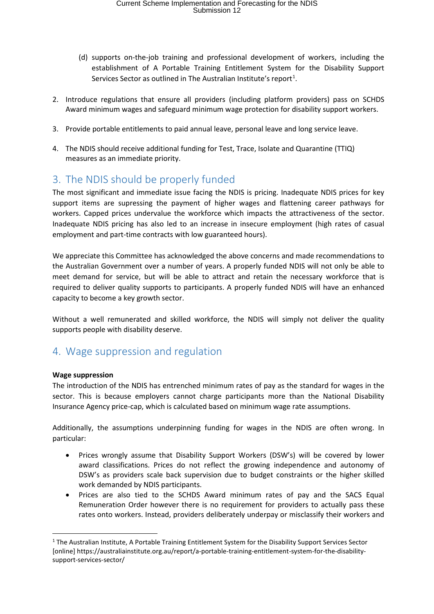- (d) supports on-the-job training and professional development of workers, including the establishment of A Portable Training Entitlement System for the Disability Support Services Sector as outlined in The Australian Institute's report<sup>1</sup>.
- 2. Introduce regulations that ensure all providers (including platform providers) pass on SCHDS Award minimum wages and safeguard minimum wage protection for disability support workers.
- 3. Provide portable entitlements to paid annual leave, personal leave and long service leave.
- 4. The NDIS should receive additional funding for Test, Trace, Isolate and Quarantine (TTIQ) measures as an immediate priority.

## 3. The NDIS should be properly funded

The most significant and immediate issue facing the NDIS is pricing. Inadequate NDIS prices for key support items are supressing the payment of higher wages and flattening career pathways for workers. Capped prices undervalue the workforce which impacts the attractiveness of the sector. Inadequate NDIS pricing has also led to an increase in insecure employment (high rates of casual employment and part-time contracts with low guaranteed hours).

We appreciate this Committee has acknowledged the above concerns and made recommendations to the Australian Government over a number of years. A properly funded NDIS will not only be able to meet demand for service, but will be able to attract and retain the necessary workforce that is required to deliver quality supports to participants. A properly funded NDIS will have an enhanced capacity to become a key growth sector.

Without a well remunerated and skilled workforce, the NDIS will simply not deliver the quality supports people with disability deserve.

## 4. Wage suppression and regulation

#### **Wage suppression**

 $\overline{a}$ 

The introduction of the NDIS has entrenched minimum rates of pay as the standard for wages in the sector. This is because employers cannot charge participants more than the National Disability Insurance Agency price-cap, which is calculated based on minimum wage rate assumptions.

Additionally, the assumptions underpinning funding for wages in the NDIS are often wrong. In particular:

- Prices wrongly assume that Disability Support Workers (DSW's) will be covered by lower award classifications. Prices do not reflect the growing independence and autonomy of DSW's as providers scale back supervision due to budget constraints or the higher skilled work demanded by NDIS participants.
- Prices are also tied to the SCHDS Award minimum rates of pay and the SACS Equal Remuneration Order however there is no requirement for providers to actually pass these rates onto workers. Instead, providers deliberately underpay or misclassify their workers and

<sup>1</sup> The Australian Institute, A Portable Training Entitlement System for the Disability Support Services Sector [online] https://australiainstitute.org.au/report/a-portable-training-entitlement-system-for-the-disabilitysupport-services-sector/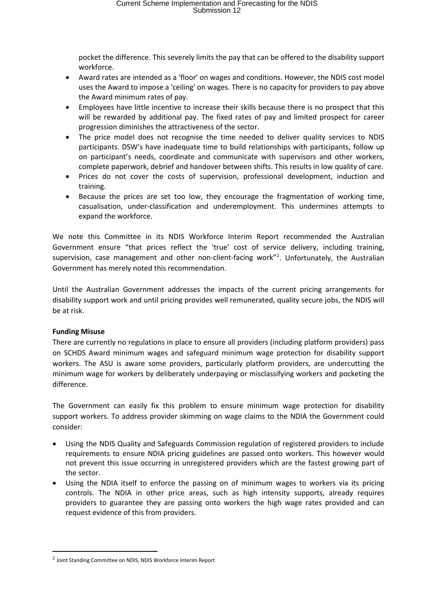pocket the difference. This severely limits the pay that can be offered to the disability support workforce.

- Award rates are intended as a 'floor' on wages and conditions. However, the NDIS cost model uses the Award to impose a 'ceiling' on wages. There is no capacity for providers to pay above the Award minimum rates of pay.
- Employees have little incentive to increase their skills because there is no prospect that this will be rewarded by additional pay. The fixed rates of pay and limited prospect for career progression diminishes the attractiveness of the sector.
- The price model does not recognise the time needed to deliver quality services to NDIS participants. DSW's have inadequate time to build relationships with participants, follow up on participant's needs, coordinate and communicate with supervisors and other workers, complete paperwork, debrief and handover between shifts. This results in low quality of care.
- Prices do not cover the costs of supervision, professional development, induction and training.
- Because the prices are set too low, they encourage the fragmentation of working time, casualisation, under-classification and underemployment. This undermines attempts to expand the workforce.

We note this Committee in its NDIS Workforce Interim Report recommended the Australian Government ensure "that prices reflect the 'true' cost of service delivery, including training, supervision, case management and other non-client-facing work"<sup>2</sup>. Unfortunately, the Australian Government has merely noted this recommendation.

Until the Australian Government addresses the impacts of the current pricing arrangements for disability support work and until pricing provides well remunerated, quality secure jobs, the NDIS will be at risk.

#### **Funding Misuse**

 $\overline{a}$ 

There are currently no regulations in place to ensure all providers (including platform providers) pass on SCHDS Award minimum wages and safeguard minimum wage protection for disability support workers. The ASU is aware some providers, particularly platform providers, are undercutting the minimum wage for workers by deliberately underpaying or misclassifying workers and pocketing the difference.

The Government can easily fix this problem to ensure minimum wage protection for disability support workers. To address provider skimming on wage claims to the NDIA the Government could consider:

- Using the NDIS Quality and Safeguards Commission regulation of registered providers to include requirements to ensure NDIA pricing guidelines are passed onto workers. This however would not prevent this issue occurring in unregistered providers which are the fastest growing part of the sector.
- Using the NDIA itself to enforce the passing on of minimum wages to workers via its pricing controls. The NDIA in other price areas, such as high intensity supports, already requires providers to guarantee they are passing onto workers the high wage rates provided and can request evidence of this from providers.

<sup>2</sup> Joint Standing Committee on NDIS, NDIS Workforce Interim Report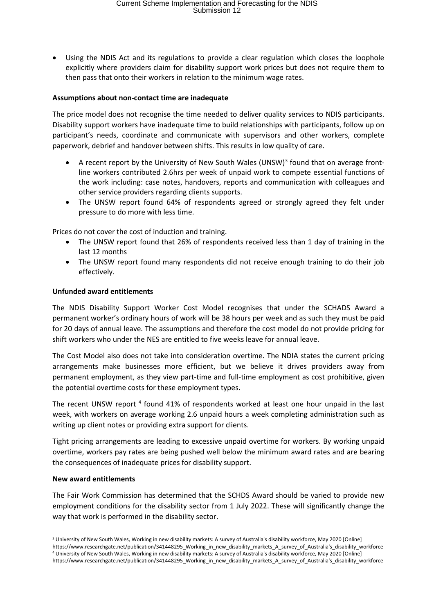• Using the NDIS Act and its regulations to provide a clear regulation which closes the loophole explicitly where providers claim for disability support work prices but does not require them to then pass that onto their workers in relation to the minimum wage rates.

#### **Assumptions about non-contact time are inadequate**

The price model does not recognise the time needed to deliver quality services to NDIS participants. Disability support workers have inadequate time to build relationships with participants, follow up on participant's needs, coordinate and communicate with supervisors and other workers, complete paperwork, debrief and handover between shifts. This results in low quality of care.

- A recent report by the University of New South Wales (UNSW) $3$  found that on average frontline workers contributed 2.6hrs per week of unpaid work to compete essential functions of the work including: case notes, handovers, reports and communication with colleagues and other service providers regarding clients supports.
- The UNSW report found 64% of respondents agreed or strongly agreed they felt under pressure to do more with less time.

Prices do not cover the cost of induction and training.

- The UNSW report found that 26% of respondents received less than 1 day of training in the last 12 months
- The UNSW report found many respondents did not receive enough training to do their job effectively.

#### **Unfunded award entitlements**

The NDIS Disability Support Worker Cost Model recognises that under the SCHADS Award a permanent worker's ordinary hours of work will be 38 hours per week and as such they must be paid for 20 days of annual leave. The assumptions and therefore the cost model do not provide pricing for shift workers who under the NES are entitled to five weeks leave for annual leave.

The Cost Model also does not take into consideration overtime. The NDIA states the current pricing arrangements make businesses more efficient, but we believe it drives providers away from permanent employment, as they view part-time and full-time employment as cost prohibitive, given the potential overtime costs for these employment types.

The recent UNSW report<sup>4</sup> found 41% of respondents worked at least one hour unpaid in the last week, with workers on average working 2.6 unpaid hours a week completing administration such as writing up client notes or providing extra support for clients.

Tight pricing arrangements are leading to excessive unpaid overtime for workers. By working unpaid overtime, workers pay rates are being pushed well below the minimum award rates and are bearing the consequences of inadequate prices for disability support.

#### **New award entitlements**

**.** 

The Fair Work Commission has determined that the SCHDS Award should be varied to provide new employment conditions for the disability sector from 1 July 2022. These will significantly change the way that work is performed in the disability sector.

<sup>&</sup>lt;sup>3</sup> University of New South Wales, Working in new disability markets: A survey of Australia's disability workforce, May 2020 [Online] https://www.researchgate.net/publication/341448295\_Working\_in\_new\_disability\_markets\_A\_survey\_of\_Australia's\_disability\_workforce<br>4 University of New South Wales, Working in new disability markets: A survey of Australia's https://www.researchgate.net/publication/341448295\_Working\_in\_new\_disability\_markets\_A\_survey\_of\_Australia's\_disability\_workforce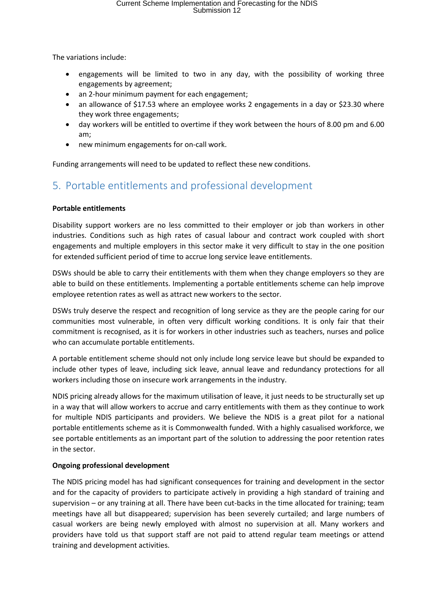The variations include:

- engagements will be limited to two in any day, with the possibility of working three engagements by agreement;
- an 2-hour minimum payment for each engagement;
- an allowance of \$17.53 where an employee works 2 engagements in a day or \$23.30 where they work three engagements;
- day workers will be entitled to overtime if they work between the hours of 8.00 pm and 6.00 am;
- new minimum engagements for on-call work.

Funding arrangements will need to be updated to reflect these new conditions.

# 5. Portable entitlements and professional development

#### **Portable entitlements**

Disability support workers are no less committed to their employer or job than workers in other industries. Conditions such as high rates of casual labour and contract work coupled with short engagements and multiple employers in this sector make it very difficult to stay in the one position for extended sufficient period of time to accrue long service leave entitlements.

DSWs should be able to carry their entitlements with them when they change employers so they are able to build on these entitlements. Implementing a portable entitlements scheme can help improve employee retention rates as well as attract new workers to the sector.

DSWs truly deserve the respect and recognition of long service as they are the people caring for our communities most vulnerable, in often very difficult working conditions. It is only fair that their commitment is recognised, as it is for workers in other industries such as teachers, nurses and police who can accumulate portable entitlements.

A portable entitlement scheme should not only include long service leave but should be expanded to include other types of leave, including sick leave, annual leave and redundancy protections for all workers including those on insecure work arrangements in the industry.

NDIS pricing already allows for the maximum utilisation of leave, it just needs to be structurally set up in a way that will allow workers to accrue and carry entitlements with them as they continue to work for multiple NDIS participants and providers. We believe the NDIS is a great pilot for a national portable entitlements scheme as it is Commonwealth funded. With a highly casualised workforce, we see portable entitlements as an important part of the solution to addressing the poor retention rates in the sector.

#### **Ongoing professional development**

The NDIS pricing model has had significant consequences for training and development in the sector and for the capacity of providers to participate actively in providing a high standard of training and supervision – or any training at all. There have been cut-backs in the time allocated for training; team meetings have all but disappeared; supervision has been severely curtailed; and large numbers of casual workers are being newly employed with almost no supervision at all. Many workers and providers have told us that support staff are not paid to attend regular team meetings or attend training and development activities.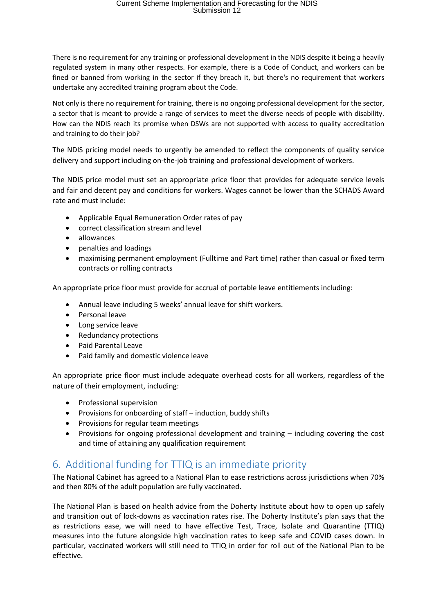# Current Scheme Implementation and Forecasting for the NDIS Submission 12

There is no requirement for any training or professional development in the NDIS despite it being a heavily regulated system in many other respects. For example, there is a Code of Conduct, and workers can be fined or banned from working in the sector if they breach it, but there's no requirement that workers undertake any accredited training program about the Code.

Not only is there no requirement for training, there is no ongoing professional development for the sector, a sector that is meant to provide a range of services to meet the diverse needs of people with disability. How can the NDIS reach its promise when DSWs are not supported with access to quality accreditation and training to do their job?

The NDIS pricing model needs to urgently be amended to reflect the components of quality service delivery and support including on-the-job training and professional development of workers.

The NDIS price model must set an appropriate price floor that provides for adequate service levels and fair and decent pay and conditions for workers. Wages cannot be lower than the SCHADS Award rate and must include:

- Applicable Equal Remuneration Order rates of pay
- correct classification stream and level
- allowances
- penalties and loadings
- maximising permanent employment (Fulltime and Part time) rather than casual or fixed term contracts or rolling contracts

An appropriate price floor must provide for accrual of portable leave entitlements including:

- Annual leave including 5 weeks' annual leave for shift workers.
- Personal leave
- Long service leave
- Redundancy protections
- Paid Parental Leave
- Paid family and domestic violence leave

An appropriate price floor must include adequate overhead costs for all workers, regardless of the nature of their employment, including:

- Professional supervision
- Provisions for onboarding of staff induction, buddy shifts
- Provisions for regular team meetings
- Provisions for ongoing professional development and training including covering the cost and time of attaining any qualification requirement

### 6. Additional funding for TTIQ is an immediate priority

The National Cabinet has agreed to a National Plan to ease restrictions across jurisdictions when 70% and then 80% of the adult population are fully vaccinated.

The National Plan is based on health advice from the Doherty Institute about how to open up safely and transition out of lock-downs as vaccination rates rise. The Doherty Institute's plan says that the as restrictions ease, we will need to have effective Test, Trace, Isolate and Quarantine (TTIQ) measures into the future alongside high vaccination rates to keep safe and COVID cases down. In particular, vaccinated workers will still need to TTIQ in order for roll out of the National Plan to be effective.